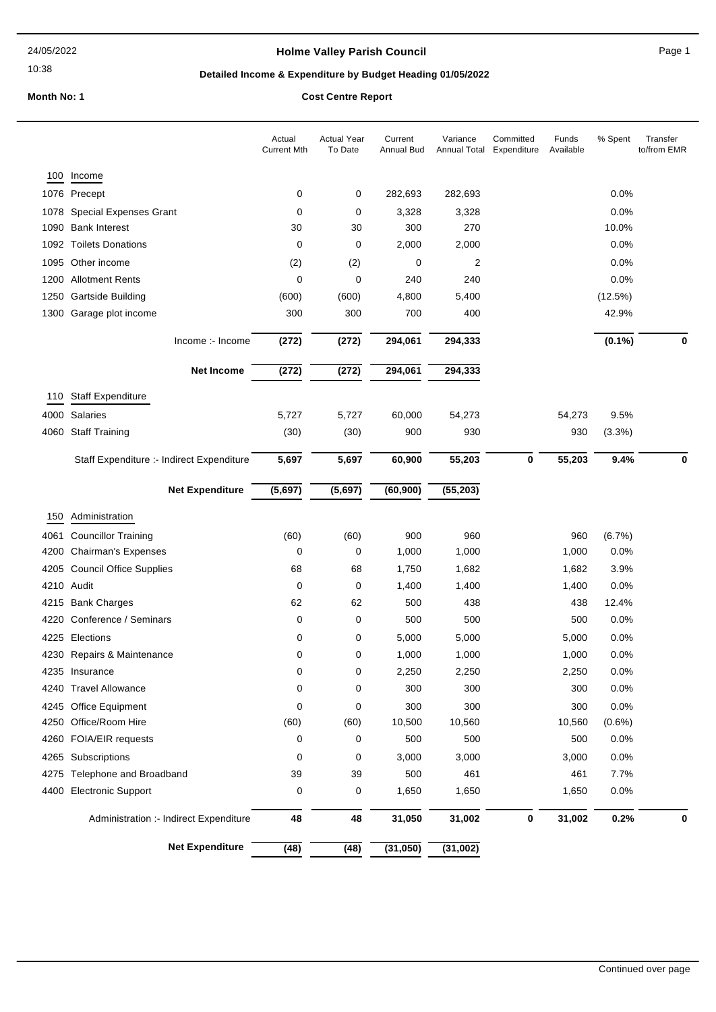10:38

## **Holme Valley Parish Council Canadian Council** Page 1

## **Detailed Income & Expenditure by Budget Heading 01/05/2022**

**Month No: 1 Cost Centre Report**

|      |                                           | Actual<br><b>Current Mth</b> | <b>Actual Year</b><br>To Date | Current<br><b>Annual Bud</b> | Variance<br>Annual Total | Committed<br>Expenditure | Funds<br>Available | % Spent   | Transfer<br>to/from EMR |
|------|-------------------------------------------|------------------------------|-------------------------------|------------------------------|--------------------------|--------------------------|--------------------|-----------|-------------------------|
| 100  | Income                                    |                              |                               |                              |                          |                          |                    |           |                         |
|      | 1076 Precept                              | 0                            | 0                             | 282,693                      | 282,693                  |                          |                    | 0.0%      |                         |
|      | 1078 Special Expenses Grant               | 0                            | 0                             | 3,328                        | 3,328                    |                          |                    | 0.0%      |                         |
|      | 1090 Bank Interest                        | 30                           | 30                            | 300                          | 270                      |                          |                    | 10.0%     |                         |
|      | 1092 Toilets Donations                    | 0                            | 0                             | 2,000                        | 2,000                    |                          |                    | 0.0%      |                         |
|      | 1095 Other income                         | (2)                          | (2)                           | 0                            | 2                        |                          |                    | 0.0%      |                         |
|      | 1200 Allotment Rents                      | 0                            | 0                             | 240                          | 240                      |                          |                    | 0.0%      |                         |
|      | 1250 Gartside Building                    | (600)                        | (600)                         | 4,800                        | 5,400                    |                          |                    | (12.5%)   |                         |
|      | 1300 Garage plot income                   | 300                          | 300                           | 700                          | 400                      |                          |                    | 42.9%     |                         |
|      | Income :- Income                          | (272)                        | (272)                         | 294,061                      | 294,333                  |                          |                    | $(0.1\%)$ | $\bf{0}$                |
|      | <b>Net Income</b>                         | (272)                        | (272)                         | 294,061                      | 294,333                  |                          |                    |           |                         |
| 110  | <b>Staff Expenditure</b>                  |                              |                               |                              |                          |                          |                    |           |                         |
|      | 4000 Salaries                             | 5,727                        | 5,727                         | 60,000                       | 54,273                   |                          | 54,273             | 9.5%      |                         |
|      | 4060 Staff Training                       | (30)                         | (30)                          | 900                          | 930                      |                          | 930                | (3.3%)    |                         |
|      |                                           |                              |                               |                              |                          |                          |                    |           |                         |
|      | Staff Expenditure :- Indirect Expenditure | 5,697                        | 5,697                         | 60,900                       | 55,203                   | 0                        | 55,203             | 9.4%      | 0                       |
|      | <b>Net Expenditure</b>                    | (5,697)                      | (5,697)                       | (60, 900)                    | (55, 203)                |                          |                    |           |                         |
| 150  | Administration                            |                              |                               |                              |                          |                          |                    |           |                         |
| 4061 | <b>Councillor Training</b>                | (60)                         | (60)                          | 900                          | 960                      |                          | 960                | (6.7%)    |                         |
| 4200 | <b>Chairman's Expenses</b>                | 0                            | 0                             | 1,000                        | 1,000                    |                          | 1,000              | $0.0\%$   |                         |
|      | 4205 Council Office Supplies              | 68                           | 68                            | 1,750                        | 1,682                    |                          | 1,682              | 3.9%      |                         |
|      | 4210 Audit                                | 0                            | 0                             | 1,400                        | 1,400                    |                          | 1,400              | 0.0%      |                         |
| 4215 | <b>Bank Charges</b>                       | 62                           | 62                            | 500                          | 438                      |                          | 438                | 12.4%     |                         |
| 4220 | Conference / Seminars                     | 0                            | 0                             | 500                          | 500                      |                          | 500                | 0.0%      |                         |
| 4225 | Elections                                 | 0                            | 0                             | 5,000                        | 5,000                    |                          | 5,000              | 0.0%      |                         |
|      | 4230 Repairs & Maintenance                | 0                            | 0                             | 1,000                        | 1,000                    |                          | 1,000              | 0.0%      |                         |
|      | 4235 Insurance                            | 0                            | 0                             | 2,250                        | 2,250                    |                          | 2,250              | 0.0%      |                         |
|      | 4240 Travel Allowance                     | 0                            | 0                             | 300                          | 300                      |                          | 300                | 0.0%      |                         |
|      | 4245 Office Equipment                     | 0                            | 0                             | 300                          | 300                      |                          | 300                | 0.0%      |                         |
|      | 4250 Office/Room Hire                     | (60)                         | (60)                          | 10,500                       | 10,560                   |                          | 10,560             | $(0.6\%)$ |                         |
|      | 4260 FOIA/EIR requests                    | 0                            | 0                             | 500                          | 500                      |                          | 500                | 0.0%      |                         |
|      | 4265 Subscriptions                        | 0                            | 0                             | 3,000                        | 3,000                    |                          | 3,000              | 0.0%      |                         |
| 4275 | Telephone and Broadband                   | 39                           | 39                            | 500                          | 461                      |                          | 461                | 7.7%      |                         |
| 4400 | <b>Electronic Support</b>                 | 0                            | 0                             | 1,650                        | 1,650                    |                          | 1,650              | 0.0%      |                         |
|      | Administration :- Indirect Expenditure    | 48                           | 48                            | 31,050                       | 31,002                   | 0                        | 31,002             | 0.2%      | 0                       |
|      | <b>Net Expenditure</b>                    | (48)                         | (48)                          | (31,050)                     | (31,002)                 |                          |                    |           |                         |
|      |                                           |                              |                               |                              |                          |                          |                    |           |                         |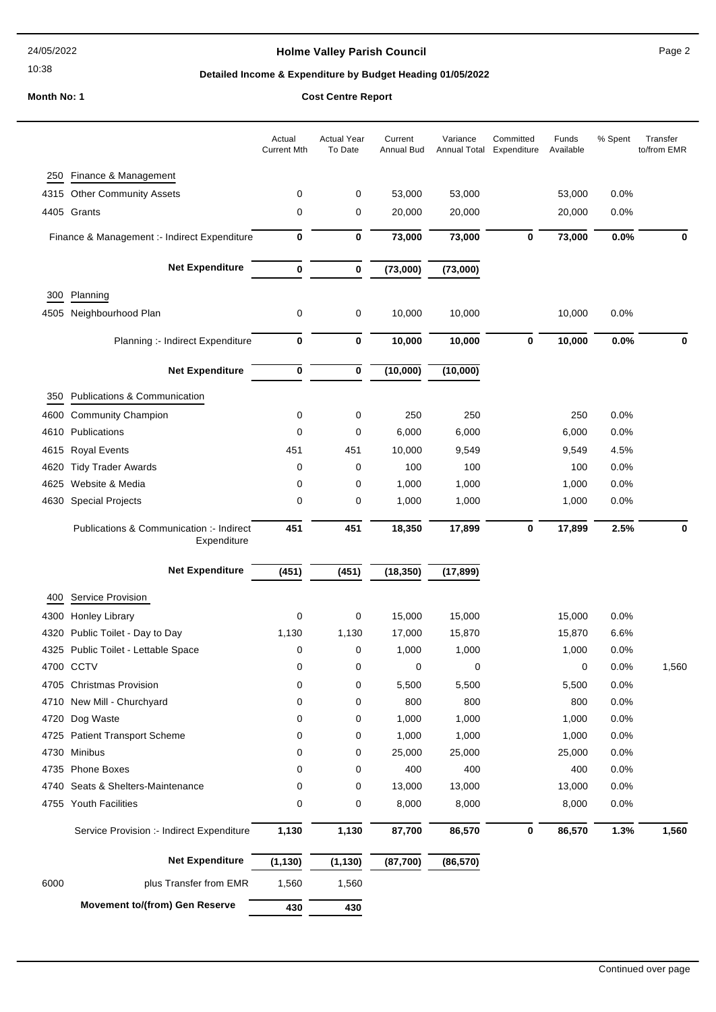10:38

## **Holme Valley Parish Council Page 2**

## **Detailed Income & Expenditure by Budget Heading 01/05/2022**

# **Month No: 1 Cost Centre Report**

|      |                                                         | Actual<br><b>Current Mth</b> | <b>Actual Year</b><br>To Date | Current<br><b>Annual Bud</b> | Variance<br><b>Annual Total</b> | Committed<br>Expenditure | Funds<br>Available | % Spent | Transfer<br>to/from EMR |
|------|---------------------------------------------------------|------------------------------|-------------------------------|------------------------------|---------------------------------|--------------------------|--------------------|---------|-------------------------|
| 250  | Finance & Management                                    |                              |                               |                              |                                 |                          |                    |         |                         |
|      | 4315 Other Community Assets                             | 0                            | 0                             | 53,000                       | 53,000                          |                          | 53,000             | 0.0%    |                         |
|      | 4405 Grants                                             | $\mathbf 0$                  | $\mathbf 0$                   | 20,000                       | 20,000                          |                          | 20,000             | 0.0%    |                         |
|      | Finance & Management :- Indirect Expenditure            | $\bf{0}$                     | $\bf{0}$                      | 73,000                       | 73,000                          | $\mathbf 0$              | 73,000             | 0.0%    | 0                       |
|      | <b>Net Expenditure</b>                                  | $\bf{0}$                     | $\bf{0}$                      | (73,000)                     | (73,000)                        |                          |                    |         |                         |
| 300  | Planning                                                |                              |                               |                              |                                 |                          |                    |         |                         |
| 4505 | Neighbourhood Plan                                      | 0                            | 0                             | 10,000                       | 10,000                          |                          | 10,000             | 0.0%    |                         |
|      | Planning :- Indirect Expenditure                        | $\bf{0}$                     | $\bf{0}$                      | 10,000                       | 10,000                          | $\mathbf 0$              | 10,000             | 0.0%    | 0                       |
|      | <b>Net Expenditure</b>                                  | 0                            | 0                             | (10,000)                     | (10,000)                        |                          |                    |         |                         |
| 350  | <b>Publications &amp; Communication</b>                 |                              |                               |                              |                                 |                          |                    |         |                         |
|      | 4600 Community Champion                                 | $\mathbf 0$                  | 0                             | 250                          | 250                             |                          | 250                | 0.0%    |                         |
| 4610 | Publications                                            | $\mathbf 0$                  | 0                             | 6,000                        | 6,000                           |                          | 6,000              | 0.0%    |                         |
| 4615 | <b>Royal Events</b>                                     | 451                          | 451                           | 10,000                       | 9,549                           |                          | 9,549              | 4.5%    |                         |
| 4620 | <b>Tidy Trader Awards</b>                               | 0                            | 0                             | 100                          | 100                             |                          | 100                | 0.0%    |                         |
| 4625 | Website & Media                                         | $\mathbf 0$                  | 0                             | 1,000                        | 1,000                           |                          | 1,000              | 0.0%    |                         |
| 4630 | <b>Special Projects</b>                                 | $\mathbf 0$                  | 0                             | 1,000                        | 1,000                           |                          | 1,000              | 0.0%    |                         |
|      | Publications & Communication :- Indirect<br>Expenditure | 451                          | 451                           | 18,350                       | 17,899                          | 0                        | 17,899             | 2.5%    | 0                       |
|      | <b>Net Expenditure</b>                                  | (451)                        | (451)                         | (18, 350)                    | (17, 899)                       |                          |                    |         |                         |
| 400  | <b>Service Provision</b>                                |                              |                               |                              |                                 |                          |                    |         |                         |

|      | <b>Movement to/(from) Gen Reserve</b>     | 430      | 430      |           |           |   |        |      |       |
|------|-------------------------------------------|----------|----------|-----------|-----------|---|--------|------|-------|
| 6000 | plus Transfer from EMR                    | 1,560    | 1,560    |           |           |   |        |      |       |
|      | <b>Net Expenditure</b>                    | (1, 130) | (1, 130) | (87, 700) | (86, 570) |   |        |      |       |
|      | Service Provision :- Indirect Expenditure | 1,130    | 1,130    | 87,700    | 86,570    | 0 | 86,570 | 1.3% | 1,560 |
| 4755 | <b>Youth Facilities</b>                   | 0        | 0        | 8,000     | 8,000     |   | 8,000  | 0.0% |       |
| 4740 | Seats & Shelters-Maintenance              | 0        | 0        | 13,000    | 13,000    |   | 13,000 | 0.0% |       |
| 4735 | <b>Phone Boxes</b>                        | 0        | 0        | 400       | 400       |   | 400    | 0.0% |       |
| 4730 | <b>Minibus</b>                            | 0        | 0        | 25,000    | 25,000    |   | 25,000 | 0.0% |       |
| 4725 | <b>Patient Transport Scheme</b>           | 0        | 0        | 1,000     | 1,000     |   | 1,000  | 0.0% |       |
| 4720 | Dog Waste                                 | 0        | 0        | 1,000     | 1,000     |   | 1,000  | 0.0% |       |
|      | 4710 New Mill - Churchyard                | 0        | 0        | 800       | 800       |   | 800    | 0.0% |       |
| 4705 | <b>Christmas Provision</b>                | 0        | 0        | 5,500     | 5,500     |   | 5,500  | 0.0% |       |
|      | 4700 CCTV                                 | 0        | 0        | 0         | 0         |   | 0      | 0.0% | 1,560 |
|      | 4325 Public Toilet - Lettable Space       | 0        | 0        | 1,000     | 1,000     |   | 1,000  | 0.0% |       |
| 4320 | Public Toilet - Day to Day                | 1,130    | 1,130    | 17,000    | 15,870    |   | 15,870 | 6.6% |       |
| 4300 | <b>Honley Library</b>                     | 0        | 0        | 15,000    | 15,000    |   | 15,000 | 0.0% |       |
| ש+   | <b>OBIVICE FIUVISION</b>                  |          |          |           |           |   |        |      |       |